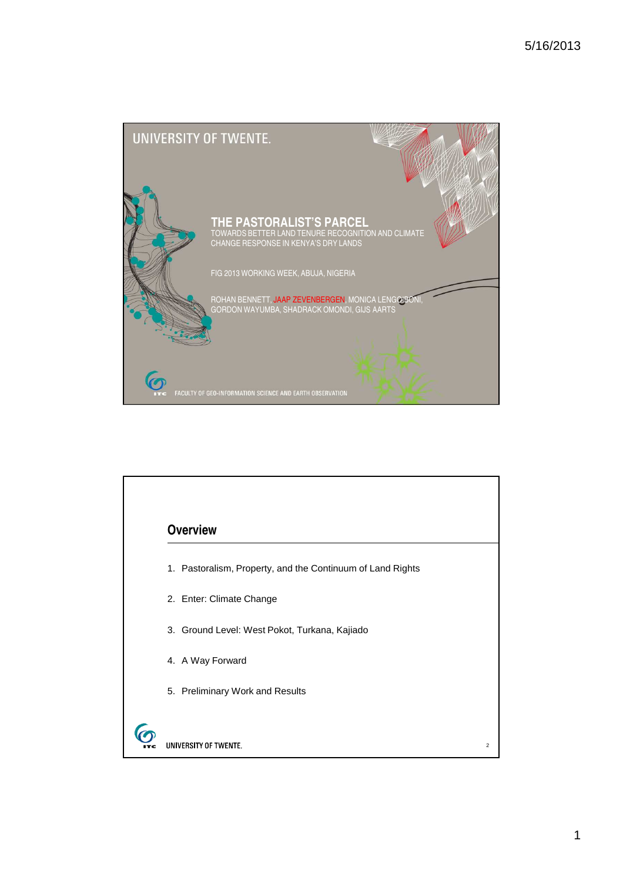

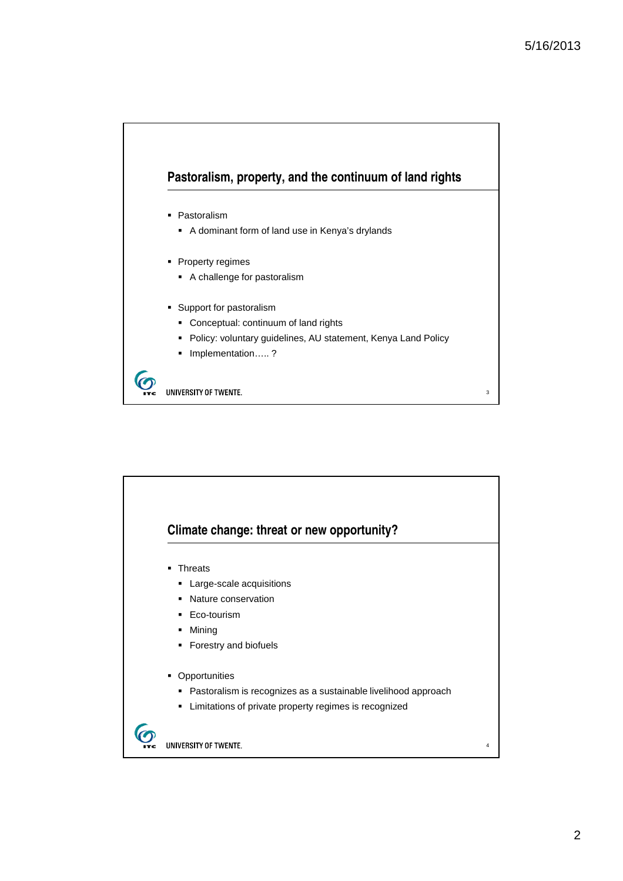

• Pastoralism

- A dominant form of land use in Kenya's drylands
- Property regimes
	- A challenge for pastoralism
- **Support for pastoralism** 
	- Conceptual: continuum of land rights
	- **Policy: voluntary guidelines, AU statement, Kenya Land Policy**
	- Implementation…..?

. UNIVERSITY OF TWENTE.

 $\boldsymbol{\sigma}$ 

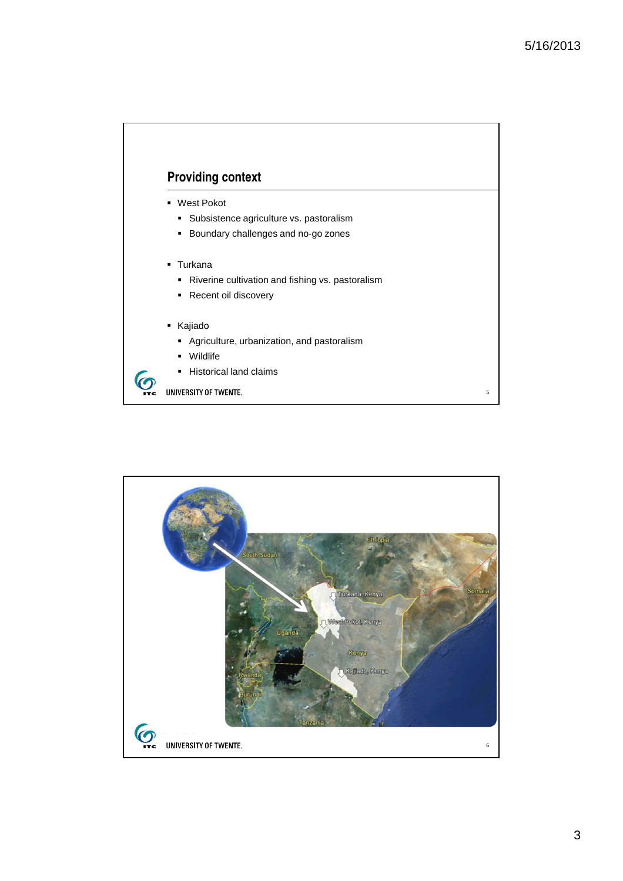## **Providing context**

- West Pokot
	- Subsistence agriculture vs. pastoralism
	- **Boundary challenges and no-go zones**
- **Turkana** 
	- Riverine cultivation and fishing vs. pastoralism
	- Recent oil discovery
- Kajiado

 $\boldsymbol{\sigma}$ 

- **Agriculture, urbanization, and pastoralism**
- Wildlife
- **Historical land claims**

TC UNIVERSITY OF TWENTE.

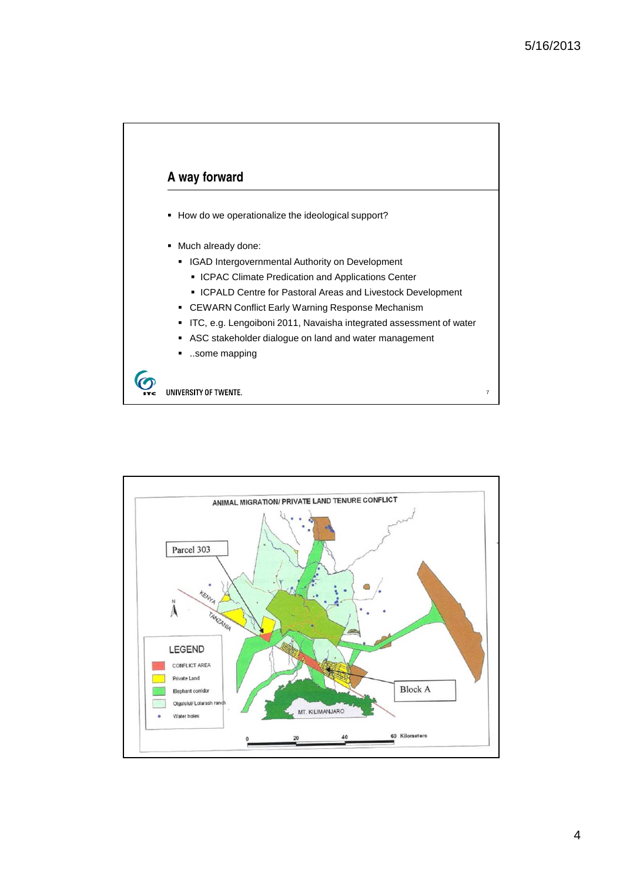

- How do we operationalize the ideological support?
- $\blacksquare$  Much already done:
	- **IGAD Intergovernmental Authority on Development** 
		- **ICPAC Climate Predication and Applications Center**
	- ICPALD Centre for Pastoral Areas and Livestock Development
	- CEWARN Conflict Early Warning Response Mechanism
	- ITC, e.g. Lengoiboni 2011, Navaisha integrated assessment of water
	- ASC stakeholder dialogue on land and water management
	- **...some mapping**

C UNIVERSITY OF TWENTE.

 $\bm{\bm{\odot}}$ 

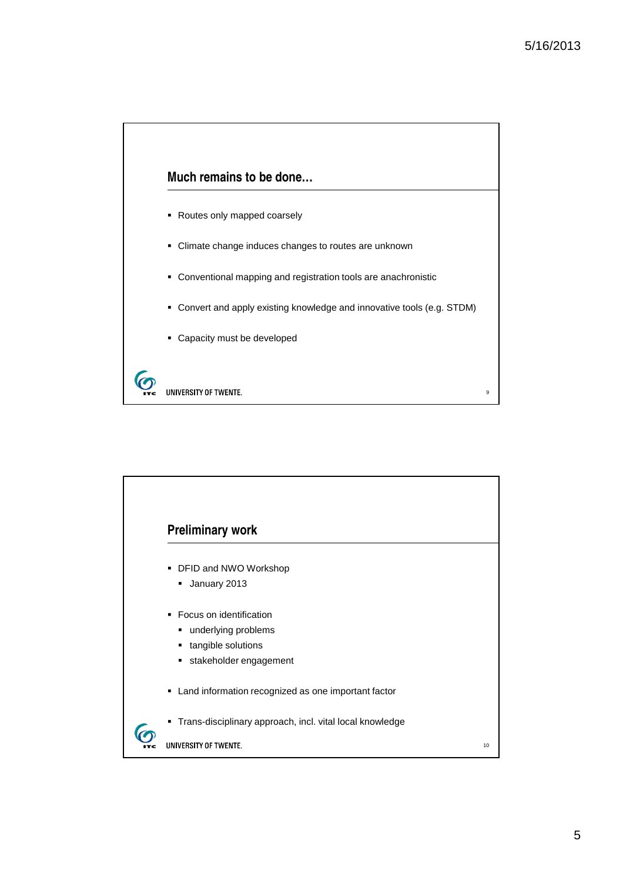$\overline{9}$ 



- Routes only mapped coarsely
- Climate change induces changes to routes are unknown
- Conventional mapping and registration tools are anachronistic
- Convert and apply existing knowledge and innovative tools (e.g. STDM)
- Capacity must be developed

6 UNIVERSITY OF TWENTE.

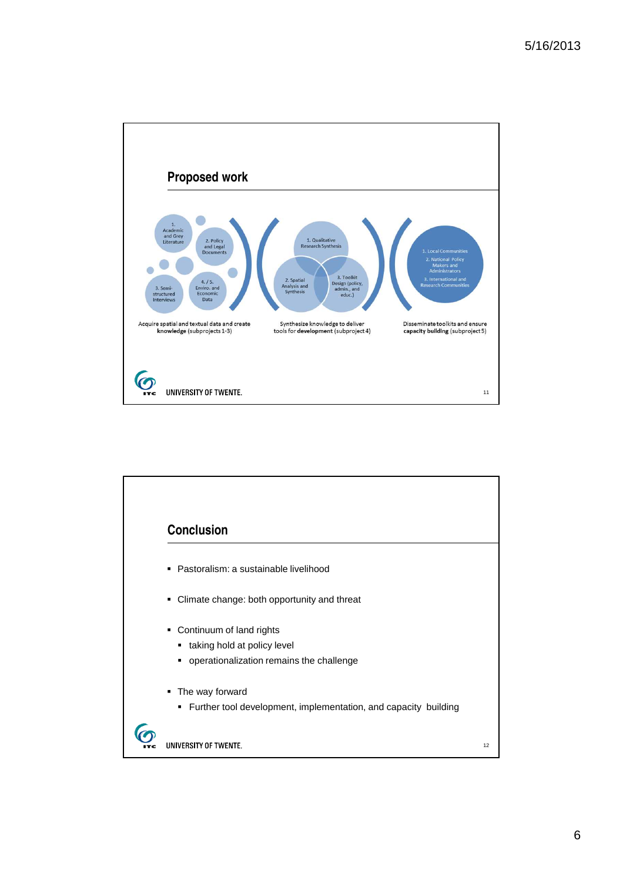